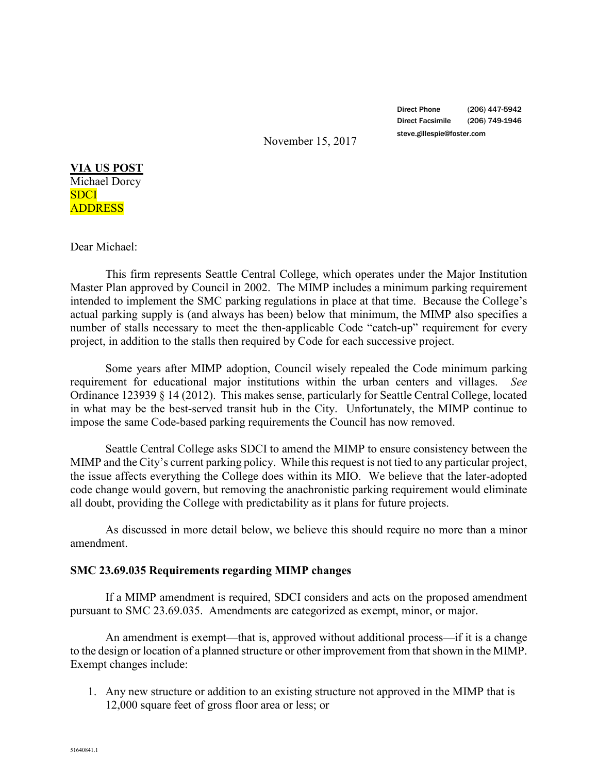Direct Phone (206) 447-5942 Direct Facsimile (206) 749-1946 steve.gillespie@foster.com

November 15, 2017

**VIA US POST** Michael Dorcy SDCI ADDRESS

## Dear Michael:

This firm represents Seattle Central College, which operates under the Major Institution Master Plan approved by Council in 2002. The MIMP includes a minimum parking requirement intended to implement the SMC parking regulations in place at that time. Because the College's actual parking supply is (and always has been) below that minimum, the MIMP also specifies a number of stalls necessary to meet the then-applicable Code "catch-up" requirement for every project, in addition to the stalls then required by Code for each successive project.

Some years after MIMP adoption, Council wisely repealed the Code minimum parking requirement for educational major institutions within the urban centers and villages. *See*  Ordinance 123939 § 14 (2012). This makes sense, particularly for Seattle Central College, located in what may be the best-served transit hub in the City. Unfortunately, the MIMP continue to impose the same Code-based parking requirements the Council has now removed.

Seattle Central College asks SDCI to amend the MIMP to ensure consistency between the MIMP and the City's current parking policy. While this request is not tied to any particular project, the issue affects everything the College does within its MIO. We believe that the later-adopted code change would govern, but removing the anachronistic parking requirement would eliminate all doubt, providing the College with predictability as it plans for future projects.

As discussed in more detail below, we believe this should require no more than a minor amendment.

## **SMC 23.69.035 Requirements regarding MIMP changes**

If a MIMP amendment is required, SDCI considers and acts on the proposed amendment pursuant to SMC 23.69.035. Amendments are categorized as exempt, minor, or major.

An amendment is exempt—that is, approved without additional process—if it is a change to the design or location of a planned structure or other improvement from that shown in the MIMP. Exempt changes include:

1. Any new structure or addition to an existing structure not approved in the MIMP that is 12,000 square feet of gross floor area or less; or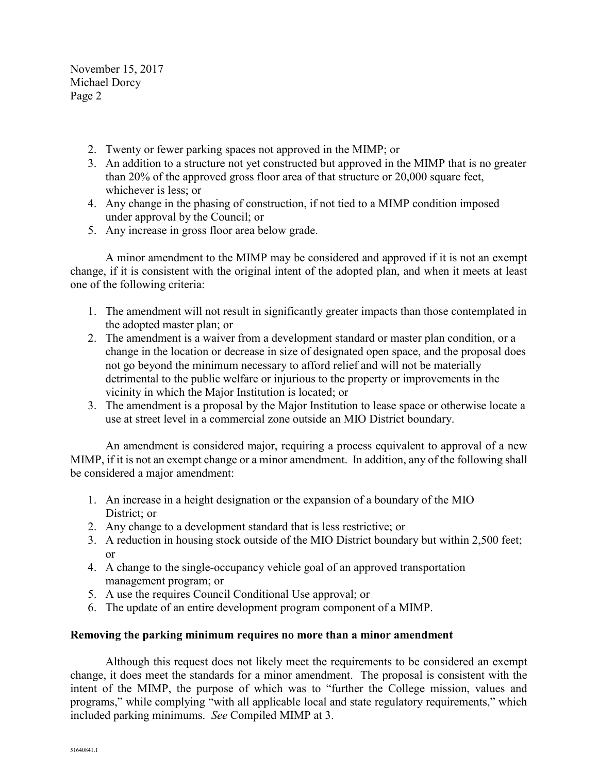November 15, 2017 Michael Dorcy Page 2

- 2. Twenty or fewer parking spaces not approved in the MIMP; or
- 3. An addition to a structure not yet constructed but approved in the MIMP that is no greater than 20% of the approved gross floor area of that structure or 20,000 square feet, whichever is less; or
- 4. Any change in the phasing of construction, if not tied to a MIMP condition imposed under approval by the Council; or
- 5. Any increase in gross floor area below grade.

A minor amendment to the MIMP may be considered and approved if it is not an exempt change, if it is consistent with the original intent of the adopted plan, and when it meets at least one of the following criteria:

- 1. The amendment will not result in significantly greater impacts than those contemplated in the adopted master plan; or
- 2. The amendment is a waiver from a development standard or master plan condition, or a change in the location or decrease in size of designated open space, and the proposal does not go beyond the minimum necessary to afford relief and will not be materially detrimental to the public welfare or injurious to the property or improvements in the vicinity in which the Major Institution is located; or
- 3. The amendment is a proposal by the Major Institution to lease space or otherwise locate a use at street level in a commercial zone outside an MIO District boundary.

An amendment is considered major, requiring a process equivalent to approval of a new MIMP, if it is not an exempt change or a minor amendment. In addition, any of the following shall be considered a major amendment:

- 1. An increase in a height designation or the expansion of a boundary of the MIO District; or
- 2. Any change to a development standard that is less restrictive; or
- 3. A reduction in housing stock outside of the MIO District boundary but within 2,500 feet; or
- 4. A change to the single-occupancy vehicle goal of an approved transportation management program; or
- 5. A use the requires Council Conditional Use approval; or
- 6. The update of an entire development program component of a MIMP.

## **Removing the parking minimum requires no more than a minor amendment**

Although this request does not likely meet the requirements to be considered an exempt change, it does meet the standards for a minor amendment. The proposal is consistent with the intent of the MIMP, the purpose of which was to "further the College mission, values and programs," while complying "with all applicable local and state regulatory requirements," which included parking minimums. *See* Compiled MIMP at 3.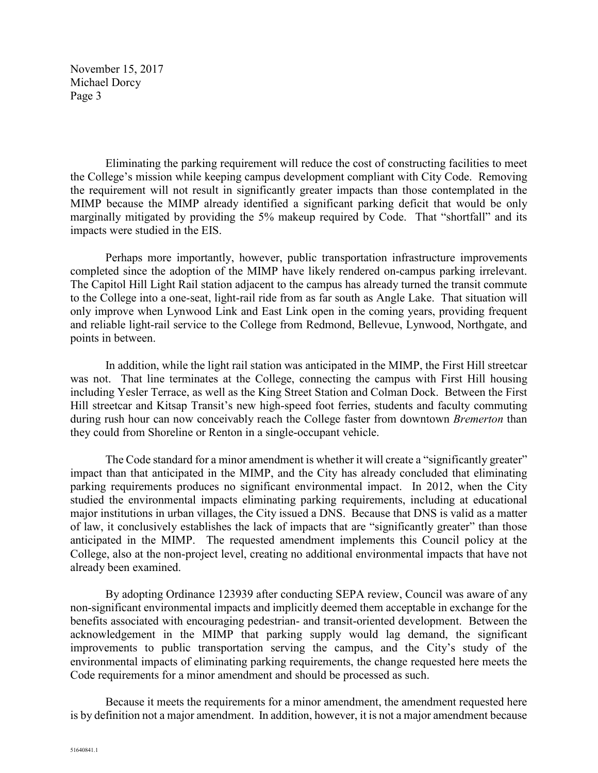November 15, 2017 Michael Dorcy Page 3

Eliminating the parking requirement will reduce the cost of constructing facilities to meet the College's mission while keeping campus development compliant with City Code. Removing the requirement will not result in significantly greater impacts than those contemplated in the MIMP because the MIMP already identified a significant parking deficit that would be only marginally mitigated by providing the 5% makeup required by Code. That "shortfall" and its impacts were studied in the EIS.

Perhaps more importantly, however, public transportation infrastructure improvements completed since the adoption of the MIMP have likely rendered on-campus parking irrelevant. The Capitol Hill Light Rail station adjacent to the campus has already turned the transit commute to the College into a one-seat, light-rail ride from as far south as Angle Lake. That situation will only improve when Lynwood Link and East Link open in the coming years, providing frequent and reliable light-rail service to the College from Redmond, Bellevue, Lynwood, Northgate, and points in between.

In addition, while the light rail station was anticipated in the MIMP, the First Hill streetcar was not. That line terminates at the College, connecting the campus with First Hill housing including Yesler Terrace, as well as the King Street Station and Colman Dock. Between the First Hill streetcar and Kitsap Transit's new high-speed foot ferries, students and faculty commuting during rush hour can now conceivably reach the College faster from downtown *Bremerton* than they could from Shoreline or Renton in a single-occupant vehicle.

The Code standard for a minor amendment is whether it will create a "significantly greater" impact than that anticipated in the MIMP, and the City has already concluded that eliminating parking requirements produces no significant environmental impact. In 2012, when the City studied the environmental impacts eliminating parking requirements, including at educational major institutions in urban villages, the City issued a DNS. Because that DNS is valid as a matter of law, it conclusively establishes the lack of impacts that are "significantly greater" than those anticipated in the MIMP. The requested amendment implements this Council policy at the College, also at the non-project level, creating no additional environmental impacts that have not already been examined.

By adopting Ordinance 123939 after conducting SEPA review, Council was aware of any non-significant environmental impacts and implicitly deemed them acceptable in exchange for the benefits associated with encouraging pedestrian- and transit-oriented development. Between the acknowledgement in the MIMP that parking supply would lag demand, the significant improvements to public transportation serving the campus, and the City's study of the environmental impacts of eliminating parking requirements, the change requested here meets the Code requirements for a minor amendment and should be processed as such.

Because it meets the requirements for a minor amendment, the amendment requested here is by definition not a major amendment. In addition, however, it is not a major amendment because